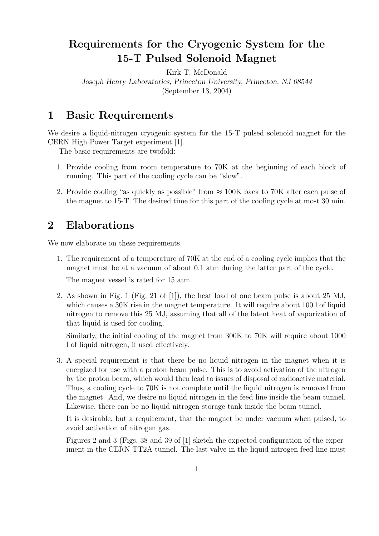## Requirements for the Cryogenic System for the 15-T Pulsed Solenoid Magnet

Kirk T. McDonald

Joseph Henry Laboratories, Princeton University, Princeton, NJ 08544 (September 13, 2004)

## 1 Basic Requirements

We desire a liquid-nitrogen cryogenic system for the 15-T pulsed solenoid magnet for the CERN High Power Target experiment [1].

The basic requirements are twofold:

- 1. Provide cooling from room temperature to 70K at the beginning of each block of running. This part of the cooling cycle can be "slow".
- 2. Provide cooling "as quickly as possible" from  $\approx 100K$  back to 70K after each pulse of the magnet to 15-T. The desired time for this part of the cooling cycle at most 30 min.

## 2 Elaborations

We now elaborate on these requirements.

1. The requirement of a temperature of 70K at the end of a cooling cycle implies that the magnet must be at a vacuum of about 0.1 atm during the latter part of the cycle.

The magnet vessel is rated for 15 atm.

2. As shown in Fig. 1 (Fig. 21 of [1]), the heat load of one beam pulse is about 25 MJ, which causes a 30K rise in the magnet temperature. It will require about 100 l of liquid nitrogen to remove this 25 MJ, assuming that all of the latent heat of vaporization of that liquid is used for cooling.

Similarly, the initial cooling of the magnet from 300K to 70K will require about 1000 l of liquid nitrogen, if used effectively.

3. A special requirement is that there be no liquid nitrogen in the magnet when it is energized for use with a proton beam pulse. This is to avoid activation of the nitrogen by the proton beam, which would then lead to issues of disposal of radioactive material. Thus, a cooling cycle to 70K is not complete until the liquid nitrogen is removed from the magnet. And, we desire no liquid nitrogen in the feed line inside the beam tunnel. Likewise, there can be no liquid nitrogen storage tank inside the beam tunnel.

It is desirable, but a requirement, that the magnet be under vacuum when pulsed, to avoid activation of nitrogen gas.

Figures 2 and 3 (Figs. 38 and 39 of [1] sketch the expected configuration of the experiment in the CERN TT2A tunnel. The last valve in the liquid nitrogen feed line must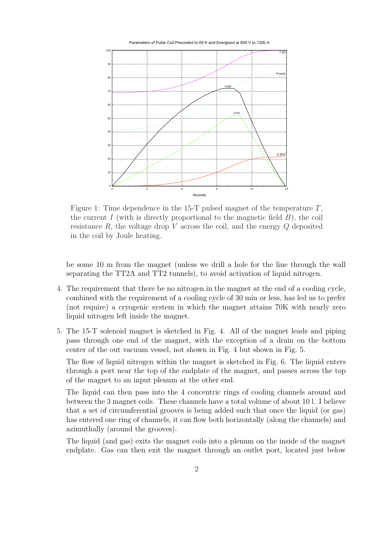

Figure 1: Time dependence in the 15-T pulsed magnet of the temperature  $T$ , the current I (with is directly proportional to the magnetic field  $B$ ), the coil resistance  $R$ , the voltage drop  $V$  across the coil, and the energy  $Q$  deposited in the coil by Joule heating.

be some 10 m from the magnet (unless we drill a hole for the line through the wall separating the TT2A and TT2 tunnels), to avoid activation of liquid nitrogen.

- 4. The requirement that there be no nitrogen in the magnet at the end of a cooling cycle, combined with the requirement of a cooling cycle of 30 min or less, has led us to prefer (not require) a cryogenic system in which the magnet attains 70K with nearly zero liquid nitrogen left inside the magnet.
- 5. The 15-T solenoid magnet is sketched in Fig. 4. All of the magnet leads and piping pass through one end of the magnet, with the exception of a drain on the bottom center of the out vacuum vessel, not shown in Fig. 4 but shown in Fig. 5.

The flow of liquid nitrogen within the magnet is sketched in Fig. 6. The liquid enters through a port near the top of the endplate of the magnet, and passes across the top of the magnet to an input plenum at the other end.

The liquid can then pass into the 4 concentric rings of cooling channels around and between the 3 magnet coils. These channels have a total volume of about 10 l. I believe that a set of circumferential grooves is being added such that once the liquid (or gas) has entered one ring of channels, it can flow both horizontally (along the channels) and azimuthally (around the grooves).

The liquid (and gas) exits the magnet coils into a plenum on the inside of the magnet endplate. Gas can then exit the magnet through an outlet port, located just below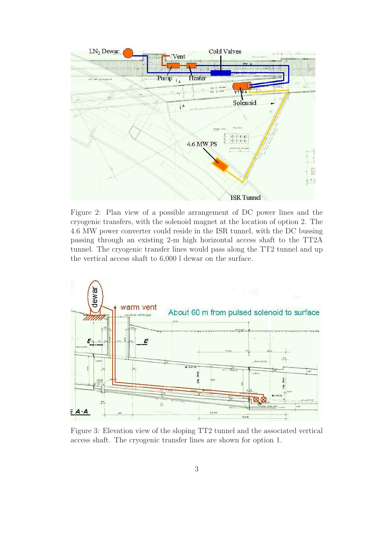

Figure 2: Plan view of a possible arrangement of DC power lines and the cryogenic transfers, with the solenoid magnet at the location of option 2. The 4.6 MW power converter could reside in the ISR tunnel, with the DC bussing passing through an existing 2-m high horizontal access shaft to the TT2A tunnel. The cryogenic transfer lines would pass along the TT2 tunnel and up the vertical access shaft to 6,000 l dewar on the surface.



Figure 3: Elevation view of the sloping TT2 tunnel and the associated vertical access shaft. The cryogenic transfer lines are shown for option 1.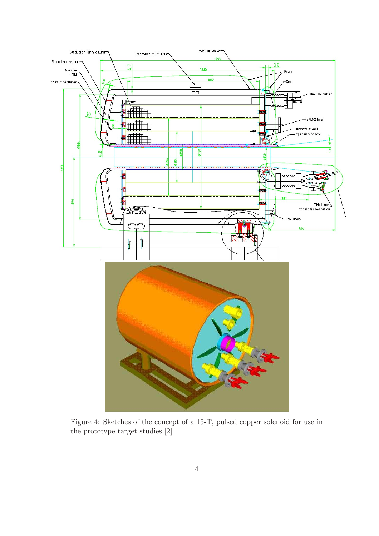

Figure 4: Sketches of the concept of a 15-T, pulsed copper solenoid for use in the prototype target studies [2].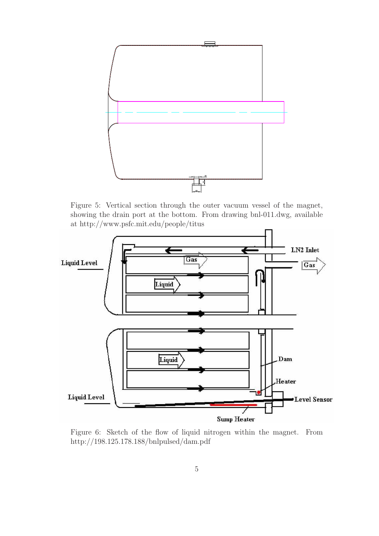

Figure 5: Vertical section through the outer vacuum vessel of the magnet, showing the drain port at the bottom. From drawing bnl-011.dwg, available at http://www.psfc.mit.edu/people/titus



Figure 6: Sketch of the flow of liquid nitrogen within the magnet. From http://198.125.178.188/bnlpulsed/dam.pdf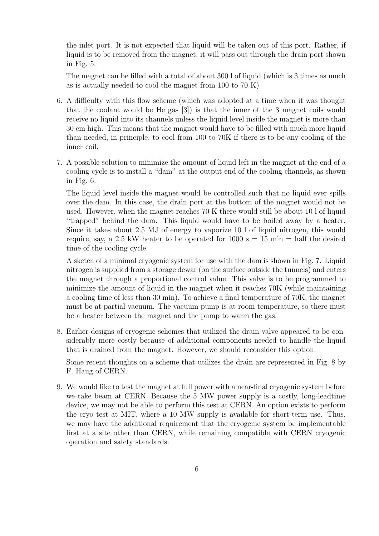the inlet port. It is not expected that liquid will be taken out of this port. Rather, if liquid is to be removed from the magnet, it will pass out through the drain port shown in Fig. 5.

The magnet can be filled with a total of about 300 l of liquid (which is 3 times as much as is actually needed to cool the magnet from 100 to 70 K)

- 6. A difficulty with this flow scheme (which was adopted at a time when it was thought that the coolant would be He gas [3]) is that the inner of the 3 magnet coils would receive no liquid into its channels unless the liquid level inside the magnet is more than 30 cm high. This means that the magnet would have to be filled with much more liquid than needed, in principle, to cool from 100 to 70K if there is to be any cooling of the inner coil.
- 7. A possible solution to minimize the amount of liquid left in the magnet at the end of a cooling cycle is to install a "dam" at the output end of the cooling channels, as shown in Fig. 6.

The liquid level inside the magnet would be controlled such that no liquid ever spills over the dam. In this case, the drain port at the bottom of the magnet would not be used. However, when the magnet reaches 70 K there would still be about 10 l of liquid "trapped" behind the dam. This liquid would have to be boiled away by a heater. Since it takes about 2.5 MJ of energy to vaporize 10 l of liquid nitrogen, this would require, say, a 2.5 kW heater to be operated for 1000  $s = 15$  min  $=$  half the desired time of the cooling cycle.

A sketch of a minimal cryogenic system for use with the dam is shown in Fig. 7. Liquid nitrogen is supplied from a storage dewar (on the surface outside the tunnels) and enters the magnet through a proportional control value. This valve is to be programmed to minimize the amount of liquid in the magnet when it reaches 70K (while maintaining a cooling time of less than 30 min). To achieve a final temperature of 70K, the magnet must be at partial vacuum. The vacuum pump is at room temperature, so there must be a heater between the magnet and the pump to warm the gas.

8. Earlier designs of cryogenic schemes that utilized the drain valve appeared to be considerably more costly because of additional components needed to handle the liquid that is drained from the magnet. However, we should reconsider this option.

Some recent thoughts on a scheme that utilizes the drain are represented in Fig. 8 by F. Haug of CERN.

9. We would like to test the magnet at full power with a near-final cryogenic system before we take beam at CERN. Because the 5 MW power supply is a costly, long-leadtime device, we may not be able to perform this test at CERN. An option exists to perform the cryo test at MIT, where a 10 MW supply is available for short-term use. Thus, we may have the additional requirement that the cryogenic system be implementable first at a site other than CERN, while remaining compatible with CERN cryogenic operation and safety standards.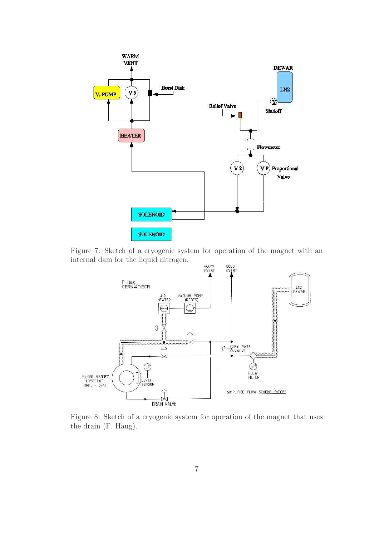

Figure 7: Sketch of a cryogenic system for operation of the magnet with an internal dam for the liquid nitrogen.



Figure 8: Sketch of a cryogenic system for operation of the magnet that uses the drain (F. Haug).